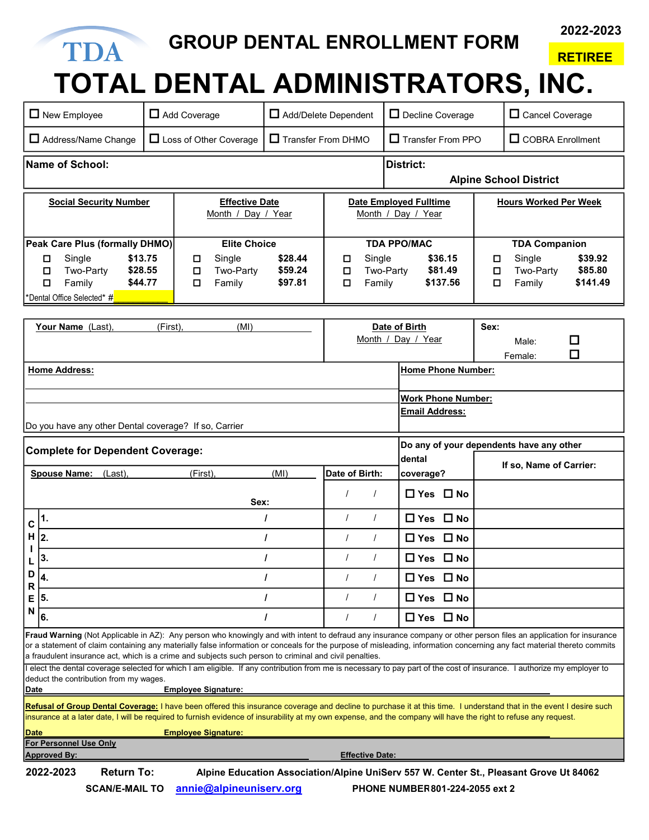## 2022-2023 GROUP DENTAL ENROLLMENT FORM TDA RETIREE

## TOTAL DENTAL ADMINISTRATORS, INC.

|                                                                                     | $\Box$ New Employee                                                         | $\Box$ Add Coverage<br>Add/Delete Dependent                                                                                                                                                                                                                                                                                                                                                                                                                                                                                                                                                                                                                      |                                             |                        | Decline Coverage                                                                       |        | $\Box$ Cancel Coverage       |                     |  |
|-------------------------------------------------------------------------------------|-----------------------------------------------------------------------------|------------------------------------------------------------------------------------------------------------------------------------------------------------------------------------------------------------------------------------------------------------------------------------------------------------------------------------------------------------------------------------------------------------------------------------------------------------------------------------------------------------------------------------------------------------------------------------------------------------------------------------------------------------------|---------------------------------------------|------------------------|----------------------------------------------------------------------------------------|--------|------------------------------|---------------------|--|
|                                                                                     | Address/Name Change                                                         | □ Loss of Other Coverage                                                                                                                                                                                                                                                                                                                                                                                                                                                                                                                                                                                                                                         | Transfer From DHMO                          |                        | $\Box$ Transfer From PPO                                                               |        | $\Box$ COBRA Enrollment      |                     |  |
|                                                                                     | <b>Name of School:</b><br><b>District:</b><br><b>Alpine School District</b> |                                                                                                                                                                                                                                                                                                                                                                                                                                                                                                                                                                                                                                                                  |                                             |                        |                                                                                        |        |                              |                     |  |
| <b>Social Security Number</b>                                                       |                                                                             |                                                                                                                                                                                                                                                                                                                                                                                                                                                                                                                                                                                                                                                                  | <b>Effective Date</b><br>Month / Day / Year |                        | <b>Date Employed Fulltime</b><br>Month / Day / Year                                    |        | <b>Hours Worked Per Week</b> |                     |  |
| Peak Care Plus (formally DHMO)                                                      |                                                                             |                                                                                                                                                                                                                                                                                                                                                                                                                                                                                                                                                                                                                                                                  | <b>Elite Choice</b>                         |                        | <b>TDA PPO/MAC</b>                                                                     |        | <b>TDA Companion</b>         |                     |  |
|                                                                                     | \$13.75<br>Single<br>□                                                      | Single<br>O                                                                                                                                                                                                                                                                                                                                                                                                                                                                                                                                                                                                                                                      | \$28.44                                     | □<br>Single            | \$36.15                                                                                | 口      | Single                       | \$39.92             |  |
|                                                                                     | \$28.55<br>Two-Party<br>□<br>\$44.77<br>П<br>Family                         | $\Box$<br>Two-Party<br>Family<br>□                                                                                                                                                                                                                                                                                                                                                                                                                                                                                                                                                                                                                               | \$59.24<br>\$97.81                          | О<br>П<br>Family       | \$81.49<br>Two-Party<br>\$137.56                                                       | ◘<br>О | Two-Party<br>Family          | \$85.80<br>\$141.49 |  |
|                                                                                     | 'Dental Office Selected* #                                                  |                                                                                                                                                                                                                                                                                                                                                                                                                                                                                                                                                                                                                                                                  |                                             |                        |                                                                                        |        |                              |                     |  |
|                                                                                     |                                                                             |                                                                                                                                                                                                                                                                                                                                                                                                                                                                                                                                                                                                                                                                  |                                             |                        |                                                                                        |        |                              |                     |  |
|                                                                                     | Your Name (Last)<br>(First),<br>(MI)                                        |                                                                                                                                                                                                                                                                                                                                                                                                                                                                                                                                                                                                                                                                  |                                             | Date of Birth          |                                                                                        | Sex:   |                              |                     |  |
|                                                                                     |                                                                             |                                                                                                                                                                                                                                                                                                                                                                                                                                                                                                                                                                                                                                                                  |                                             | Month / Day / Year     |                                                                                        |        | Male:                        | □                   |  |
|                                                                                     |                                                                             |                                                                                                                                                                                                                                                                                                                                                                                                                                                                                                                                                                                                                                                                  |                                             |                        |                                                                                        |        | Female:                      | □                   |  |
|                                                                                     | <b>Home Address:</b>                                                        |                                                                                                                                                                                                                                                                                                                                                                                                                                                                                                                                                                                                                                                                  |                                             |                        | <b>Home Phone Number:</b>                                                              |        |                              |                     |  |
|                                                                                     |                                                                             |                                                                                                                                                                                                                                                                                                                                                                                                                                                                                                                                                                                                                                                                  |                                             |                        | <b>Work Phone Number:</b>                                                              |        |                              |                     |  |
|                                                                                     |                                                                             |                                                                                                                                                                                                                                                                                                                                                                                                                                                                                                                                                                                                                                                                  |                                             | <b>Email Address:</b>  |                                                                                        |        |                              |                     |  |
|                                                                                     | Do you have any other Dental coverage? If so, Carrier                       |                                                                                                                                                                                                                                                                                                                                                                                                                                                                                                                                                                                                                                                                  |                                             |                        |                                                                                        |        |                              |                     |  |
| Do any of your dependents have any other<br><b>Complete for Dependent Coverage:</b> |                                                                             |                                                                                                                                                                                                                                                                                                                                                                                                                                                                                                                                                                                                                                                                  |                                             |                        |                                                                                        |        |                              |                     |  |
|                                                                                     |                                                                             |                                                                                                                                                                                                                                                                                                                                                                                                                                                                                                                                                                                                                                                                  |                                             |                        |                                                                                        |        |                              |                     |  |
|                                                                                     |                                                                             |                                                                                                                                                                                                                                                                                                                                                                                                                                                                                                                                                                                                                                                                  |                                             |                        | dental                                                                                 |        | If so, Name of Carrier:      |                     |  |
|                                                                                     | <b>Spouse Name:</b><br>(Last),                                              | (First).                                                                                                                                                                                                                                                                                                                                                                                                                                                                                                                                                                                                                                                         | (MI)                                        | Date of Birth:         | coverage?                                                                              |        |                              |                     |  |
|                                                                                     |                                                                             | Sex:                                                                                                                                                                                                                                                                                                                                                                                                                                                                                                                                                                                                                                                             |                                             | $\prime$<br>$\prime$   | $\Box$ Yes $\Box$ No                                                                   |        |                              |                     |  |
| C                                                                                   | 1.                                                                          |                                                                                                                                                                                                                                                                                                                                                                                                                                                                                                                                                                                                                                                                  | I                                           | $\prime$<br>$\prime$   | $\Box$ Yes $\Box$ No                                                                   |        |                              |                     |  |
| н                                                                                   | 2.                                                                          |                                                                                                                                                                                                                                                                                                                                                                                                                                                                                                                                                                                                                                                                  | I                                           | $\prime$               | $\Box$ Yes $\Box$ No                                                                   |        |                              |                     |  |
|                                                                                     | 3.                                                                          |                                                                                                                                                                                                                                                                                                                                                                                                                                                                                                                                                                                                                                                                  | I                                           | $\prime$               | $\Box$ Yes $\Box$ No                                                                   |        |                              |                     |  |
| D                                                                                   |                                                                             |                                                                                                                                                                                                                                                                                                                                                                                                                                                                                                                                                                                                                                                                  | $\mathbf{I}$                                | $\prime$               | $\Box$ Yes $\Box$ No                                                                   |        |                              |                     |  |
| R<br>Е                                                                              | 5.                                                                          |                                                                                                                                                                                                                                                                                                                                                                                                                                                                                                                                                                                                                                                                  | I                                           | $\prime$               | $\Box$ Yes $\Box$ No                                                                   |        |                              |                     |  |
| N                                                                                   | 6.                                                                          |                                                                                                                                                                                                                                                                                                                                                                                                                                                                                                                                                                                                                                                                  |                                             | $\prime$               | $\Box$ Yes $\Box$ No                                                                   |        |                              |                     |  |
| Date                                                                                | deduct the contribution from my wages.                                      | Fraud Warning (Not Applicable in AZ): Any person who knowingly and with intent to defraud any insurance company or other person files an application for insurance<br>or a statement of claim containing any materially false information or conceals for the purpose of misleading, information concerning any fact material thereto commits<br>a fraudulent insurance act, which is a crime and subjects such person to criminal and civil penalties.<br>l elect the dental coverage selected for which I am eligible. If any contribution from me is necessary to pay part of the cost of insurance. I authorize my employer to<br><b>Employee Signature:</b> |                                             |                        |                                                                                        |        |                              |                     |  |
|                                                                                     |                                                                             | Refusal of Group Dental Coverage: I have been offered this insurance coverage and decline to purchase it at this time. I understand that in the event I desire such                                                                                                                                                                                                                                                                                                                                                                                                                                                                                              |                                             |                        |                                                                                        |        |                              |                     |  |
|                                                                                     |                                                                             | insurance at a later date, I will be required to furnish evidence of insurability at my own expense, and the company will have the right to refuse any request.                                                                                                                                                                                                                                                                                                                                                                                                                                                                                                  |                                             |                        |                                                                                        |        |                              |                     |  |
| Date                                                                                |                                                                             | <b>Employee Signature:</b>                                                                                                                                                                                                                                                                                                                                                                                                                                                                                                                                                                                                                                       |                                             |                        |                                                                                        |        |                              |                     |  |
|                                                                                     | For Personnel Use Only<br><b>Approved By:</b>                               |                                                                                                                                                                                                                                                                                                                                                                                                                                                                                                                                                                                                                                                                  |                                             | <b>Effective Date:</b> |                                                                                        |        |                              |                     |  |
|                                                                                     | <b>Return To:</b><br>2022-2023                                              |                                                                                                                                                                                                                                                                                                                                                                                                                                                                                                                                                                                                                                                                  |                                             |                        | Alpine Education Association/Alpine UniServ 557 W. Center St., Pleasant Grove Ut 84062 |        |                              |                     |  |